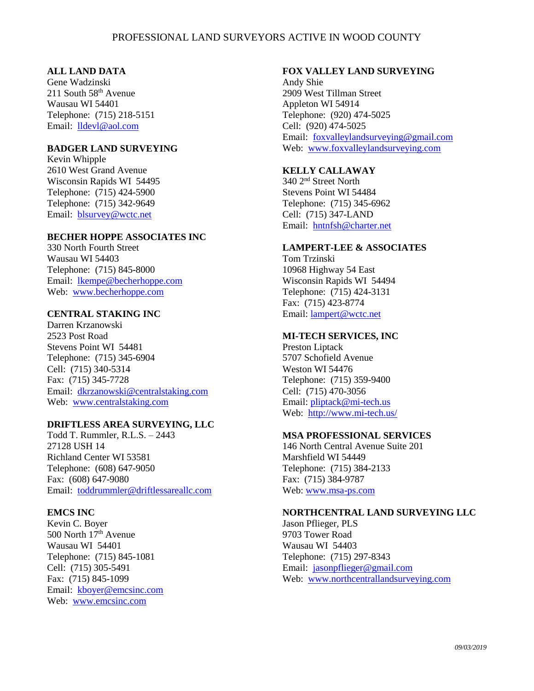# PROFESSIONAL LAND SURVEYORS ACTIVE IN WOOD COUNTY

### **ALL LAND DATA**

Gene Wadzinski 211 South  $58<sup>th</sup>$  Avenue Wausau WI 54401 Telephone: (715) 218-5151 Email: [lldevl@aol.com](mailto:lldevl@aol.com)

# **BADGER LAND SURVEYING**

Kevin Whipple 2610 West Grand Avenue Wisconsin Rapids WI 54495 Telephone: (715) 424-5900 Telephone: (715) 342-9649 Email: [blsurvey@wctc.net](mailto:blsurvey@wctc.net)

## **BECHER HOPPE ASSOCIATES INC**

330 North Fourth Street Wausau WI 54403 Telephone: (715) 845-8000 Email: [lkempe@becherhoppe.com](mailto:lkempe@becherhoppe.com) Web: [www.becherhoppe.com](http://www.becherhoppe.com/)

# **CENTRAL STAKING INC**

Darren Krzanowski 2523 Post Road Stevens Point WI 54481 Telephone: (715) 345-6904 Cell: (715) 340-5314 Fax: (715) 345-7728 Email: [dkrzanowski@centralstaking.com](mailto:dkrzanowski@centralstaking.com) Web: <www.centralstaking.com>

### **DRIFTLESS AREA SURVEYING, LLC**

Todd T. Rummler, R.L.S. – 2443 27128 USH 14 Richland Center WI 53581 Telephone: (608) 647-9050 Fax: (608) 647-9080 Email: [toddrummler@driftlessareallc.com](mailto:toddrummler@driftlessareallc.com)

#### **EMCS INC**

Kevin C. Boyer 500 North 17th Avenue Wausau WI 54401 Telephone: (715) 845-1081 Cell: (715) 305-5491 Fax: (715) 845-1099 Email: [kboyer@emcsinc.com](mailto:kboyer@emcsinc.com) Web: [www.emcsinc.com](http://www.emcsinc.com/)

## **FOX VALLEY LAND SURVEYING**

Andy Shie 2909 West Tillman Street Appleton WI 54914 Telephone: (920) 474-5025 Cell: (920) 474-5025 Email: [foxvalleylandsurveying@gmail.com](mailto:foxvalleylandsurveying@gmail.com) Web: <www.foxvalleylandsurveying.com>

# **KELLY CALLAWAY**

340 2nd Street North Stevens Point WI 54484 Telephone: (715) 345-6962 Cell: (715) 347-LAND Email: <hntnfsh@charter.net>

### **LAMPERT-LEE & ASSOCIATES**

Tom Trzinski 10968 Highway 54 East Wisconsin Rapids WI 54494 Telephone: (715) 424-3131 Fax: (715) 423-8774 Email:<lampert@wctc.net>

## **MI-TECH SERVICES, INC**

Preston Liptack 5707 Schofield Avenue Weston WI 54476 Telephone: (715) 359-9400 Cell: (715) 470-3056 Email: [pliptack@mi-tech.us](mailto:pliptack@mi-tech.us) Web: <http://www.mi-tech.us/>

#### **MSA PROFESSIONAL SERVICES**

146 North Central Avenue Suite 201 Marshfield WI 54449 Telephone: (715) 384-2133 Fax: (715) 384-9787 Web: [www.msa-ps.com](http://www.msa-ps.com/)

#### **NORTHCENTRAL LAND SURVEYING LLC**

Jason Pflieger, PLS 9703 Tower Road Wausau WI 54403 Telephone: (715) 297-8343 Email: [jasonpflieger@gmail.com](mailto:jasonpflieger@gmail.com) Web: [www.northcentrallandsurveying.com](http://www.northcentrallandsurveying.com/)